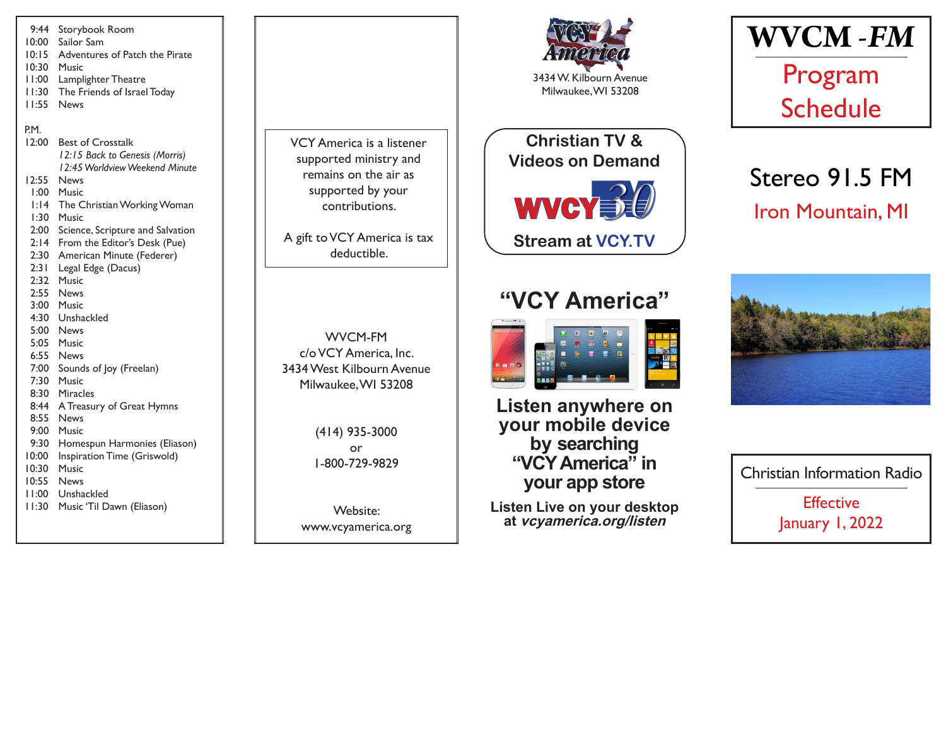9:44 Storybook Room 10:00 Sailor Sam 10:15 Adventures of Patch the Pirate 10:30 Music 11:00 Lamplighter Theatre 11:30 The Friends of Israel Today 11:55 News P.M. 12:00 Best of Crosstalk *12:15 Back to Genesis (Morris) 12:45 Worldview Weekend Minute* 12:55 News 1:00 Music 1:14 The Christian Working Woman 1:30 Music 2:00 Science, Scripture and Salvation 2:14 From the Editor's Desk (Pue) 2:30 American Minute (Federer) 2:31 Legal Edge (Dacus) 2:32 Music 2:55 News 3:00 Music 4:30 Unshackled 5:00 News 5:05 Music 6:55 News 7:00 Sounds of Joy (Freelan) 7:30 Music 8:30 Miracles 8:44 A Treasury of Great Hymns 8:55 News 9:00 Music 9:30 Homespun Harmonies (Eliason) 10:00 Inspiration Time (Griswold) 10:30 Music 10:55 News 11:00 Unshackled 11:30 Music 'Til Dawn (Eliason)

VCY America is a listener supported ministry and remains on the air as supported by your contributions.

A gift to VCY America is tax deductible.

WVCM-FM c/o VCY America, Inc. 3434 West Kilbourn Avenue Milwaukee, WI 53208

> (414) 935-3000 or 1-800-729-9829

Website: www.vcyamerica.org



Milwaukee, WI 53208

WVCY30 **Christian TV & Videos on Demand Stream at VCY.TV**

## **"VCY America"**



**Listen anywhere on your mobile device by searching "VCY America" in your app store**

**Listen Live on your desktop at vcyamerica.org/listen**



# Stereo 91.5 FM Iron Mountain, MI



Christian Information Radio **Effective** January 1, 2022